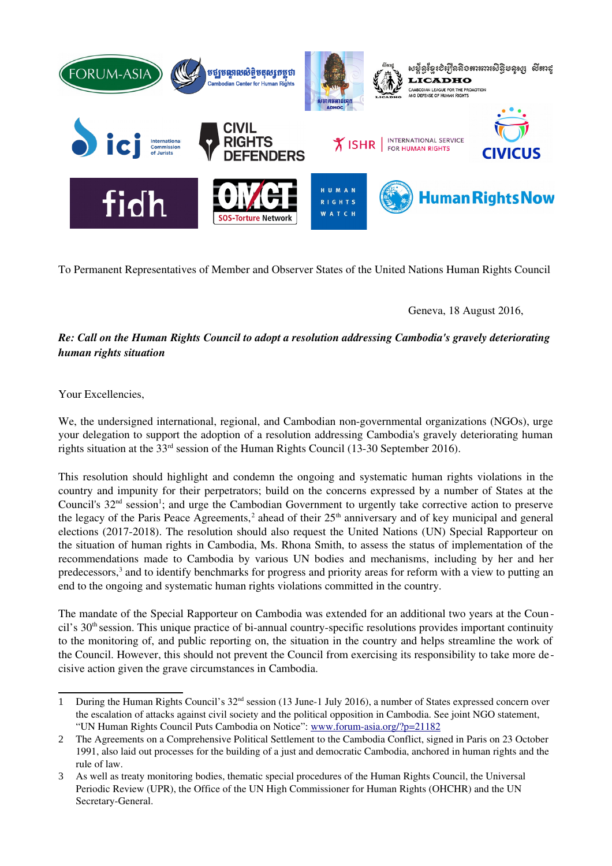

To Permanent Representatives of Member and Observer States of the United Nations Human Rights Council

Geneva, 18 August 2016,

# *Re: Call on the Human Rights Council to adopt a resolution addressing Cambodia's gravely deteriorating human rights situation*

Your Excellencies,

We, the undersigned international, regional, and Cambodian non-governmental organizations (NGOs), urge your delegation to support the adoption of a resolution addressing Cambodia's gravely deteriorating human rights situation at the 33<sup>rd</sup> session of the Human Rights Council (13-30 September 2016).

This resolution should highlight and condemn the ongoing and systematic human rights violations in the country and impunity for their perpetrators; build on the concerns expressed by a number of States at the Council's 32<sup>nd</sup> session<sup>[1](#page-0-0)</sup>; and urge the Cambodian Government to urgently take corrective action to preserve the legacy of the Paris Peace Agreements,<sup>[2](#page-0-1)</sup> ahead of their  $25<sup>th</sup>$  anniversary and of key municipal and general elections (2017-2018). The resolution should also request the United Nations (UN) Special Rapporteur on the situation of human rights in Cambodia, Ms. Rhona Smith, to assess the status of implementation of the recommendations made to Cambodia by various UN bodies and mechanisms, including by her and her predecessors,<sup>[3](#page-0-2)</sup> and to identify benchmarks for progress and priority areas for reform with a view to putting an end to the ongoing and systematic human rights violations committed in the country.

The mandate of the Special Rapporteur on Cambodia was extended for an additional two years at the Coun cil's 30<sup>th</sup> session. This unique practice of bi-annual country-specific resolutions provides important continuity to the monitoring of, and public reporting on, the situation in the country and helps streamline the work of the Council. However, this should not prevent the Council from exercising its responsibility to take more decisive action given the grave circumstances in Cambodia.

<span id="page-0-0"></span><sup>1</sup> During the Human Rights Council's 32<sup>nd</sup> session (13 June-1 July 2016), a number of States expressed concern over the escalation of attacks against civil society and the political opposition in Cambodia. See joint NGO statement, "UN Human Rights Council Puts Cambodia on Notice": www.forum-asia.org/?p=21182

<span id="page-0-1"></span><sup>2</sup> The Agreements on a Comprehensive Political Settlement to the Cambodia Conflict, signed in Paris on 23 October 1991, also laid out processes for the building of a just and democratic Cambodia, anchored in human rights and the rule of law.

<span id="page-0-2"></span><sup>3</sup> As well as treaty monitoring bodies, thematic special procedures of the Human Rights Council, the Universal Periodic Review (UPR), the Office of the UN High Commissioner for Human Rights (OHCHR) and the UN Secretary-General.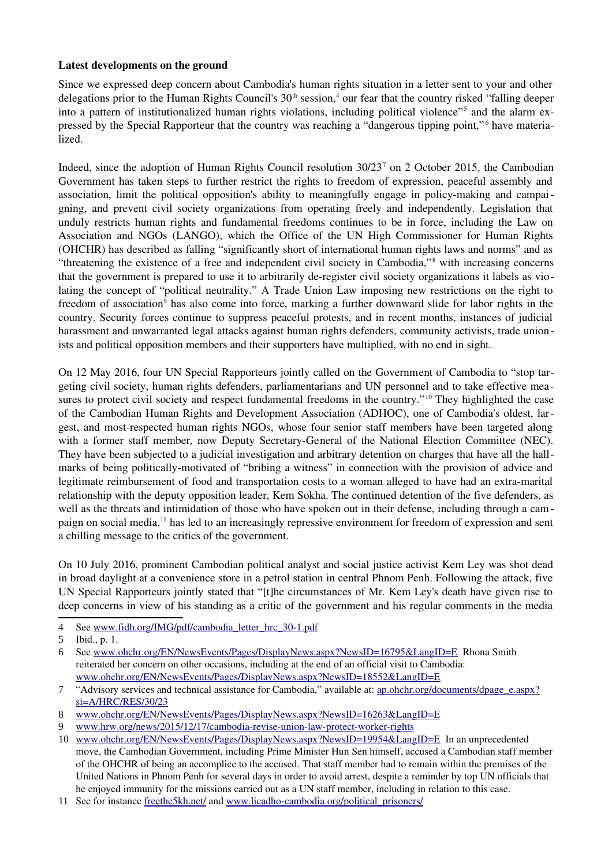### Latest developments on the ground

Since we expressed deep concern about Cambodia's human rights situation in a letter sent to your and other delegations prior to the Human Rights Council's 30<sup>th</sup> session,<sup>[4](#page-1-0)</sup> our fear that the country risked "falling deeper into a pattern of institutionalized human rights violations, including political violence"<sup>[5](#page-1-1)</sup> and the alarm ex-pressed by the Special Rapporteur that the country was reaching a "dangerous tipping point,"<sup>[6](#page-1-2)</sup> have materialized.

Indeed, since the adoption of Human Rights Council resolution 30/23<sup>[7](#page-1-3)</sup> on 2 October 2015, the Cambodian Government has taken steps to further restrict the rights to freedom of expression, peaceful assembly and association, limit the political opposition's ability to meaningfully engage in policy-making and campaigning, and prevent civil society organizations from operating freely and independently. Legislation that unduly restricts human rights and fundamental freedoms continues to be in force, including the Law on Association and NGOs (LANGO), which the Office of the UN High Commissioner for Human Rights (OHCHR) has described as falling "significantly short of international human rights laws and norms" and as "threatening the existence of a free and independent civil society in Cambodia,"[8](#page-1-4) with increasing concerns that the government is prepared to use it to arbitrarily deregister civil society organizations it labels as violating the concept of "political neutrality." A Trade Union Law imposing new restrictions on the right to freedom of association<sup>[9](#page-1-5)</sup> has also come into force, marking a further downward slide for labor rights in the country. Security forces continue to suppress peaceful protests, and in recent months, instances of judicial harassment and unwarranted legal attacks against human rights defenders, community activists, trade unionists and political opposition members and their supporters have multiplied, with no end in sight.

On 12 May 2016, four UN Special Rapporteurs jointly called on the Government of Cambodia to "stop targeting civil society, human rights defenders, parliamentarians and UN personnel and to take effective mea-sures to protect civil society and respect fundamental freedoms in the country."<sup>[10](#page-1-6)</sup> They highlighted the case of the Cambodian Human Rights and Development Association (ADHOC), one of Cambodia's oldest, largest, and mostrespected human rights NGOs, whose four senior staff members have been targeted along with a former staff member, now Deputy Secretary-General of the National Election Committee (NEC). They have been subjected to a judicial investigation and arbitrary detention on charges that have all the hallmarks of being politically-motivated of "bribing a witness" in connection with the provision of advice and legitimate reimbursement of food and transportation costs to a woman alleged to have had an extramarital relationship with the deputy opposition leader, Kem Sokha. The continued detention of the five defenders, as well as the threats and intimidation of those who have spoken out in their defense, including through a cam-paign on social media,<sup>[11](#page-1-7)</sup> has led to an increasingly repressive environment for freedom of expression and sent a chilling message to the critics of the government.

On 10 July 2016, prominent Cambodian political analyst and social justice activist Kem Ley was shot dead in broad daylight at a convenience store in a petrol station in central Phnom Penh. Following the attack, five UN Special Rapporteurs jointly stated that "[t]he circumstances of Mr. Kem Ley's death have given rise to deep concerns in view of his standing as a critic of the government and his regular comments in the media

<span id="page-1-0"></span><sup>4</sup> See www.fidh.org/IMG/pdf/cambodia\_letter\_hrc\_30-1.pdf

<span id="page-1-1"></span><sup>5</sup> Ibid., p. 1.

<span id="page-1-2"></span><sup>6</sup> See [www.ohchr.org/EN/NewsEvents/Pages/DisplayNews.aspx?NewsID=16795&LangID=E](http://www.ohchr.org/EN/NewsEvents/Pages/DisplayNews.aspx?NewsID=16795&LangID=E)  Rhona Smith reiterated her concern on other occasions, including at the end of an official visit to Cambodia: [www.ohchr.org/EN/NewsEvents/Pages/DisplayNews.aspx?NewsID=18552&LangID=E](http://www.ohchr.org/EN/NewsEvents/Pages/DisplayNews.aspx?NewsID=18552&LangID=E)

<span id="page-1-3"></span><sup>7 &</sup>quot;Advisory services and technical assistance for Cambodia," available at: [ap.ohchr.org/documents/dpage\\_e.aspx?](http://ap.ohchr.org/documents/dpage_e.aspx?si=A/HRC/RES/30/23) [si=A/HRC/RES/30/23](http://ap.ohchr.org/documents/dpage_e.aspx?si=A/HRC/RES/30/23)

<span id="page-1-4"></span><sup>8</sup> [www.ohchr.org/EN/NewsEvents/Pages/DisplayNews.aspx?NewsID=16263&LangID=E](http://www.ohchr.org/EN/NewsEvents/Pages/DisplayNews.aspx?NewsID=16263&LangID=E)

<span id="page-1-5"></span><sup>9</sup> www.hrw.org/news/2015/12/17/cambodia-revise-union-law-protect-worker-rights

<span id="page-1-6"></span><sup>10</sup> [www.ohchr.org/EN/NewsEvents/Pages/DisplayNews.aspx?NewsID=19954&LangID=E](http://www.ohchr.org/EN/NewsEvents/Pages/DisplayNews.aspx?NewsID=19954&LangID=E)  In an unprecedented move, the Cambodian Government, including Prime Minister Hun Sen himself, accused a Cambodian staff member of the OHCHR of being an accomplice to the accused. That staff member had to remain within the premises of the United Nations in Phnom Penh for several days in order to avoid arrest, despite a reminder by top UN officials that he enjoyed immunity for the missions carried out as a UN staff member, including in relation to this case.

<span id="page-1-7"></span><sup>11</sup> See for instance [freethe5kh.net/](https://freethe5kh.net/) and www.licadho-cambodia.org/political\_prisoners/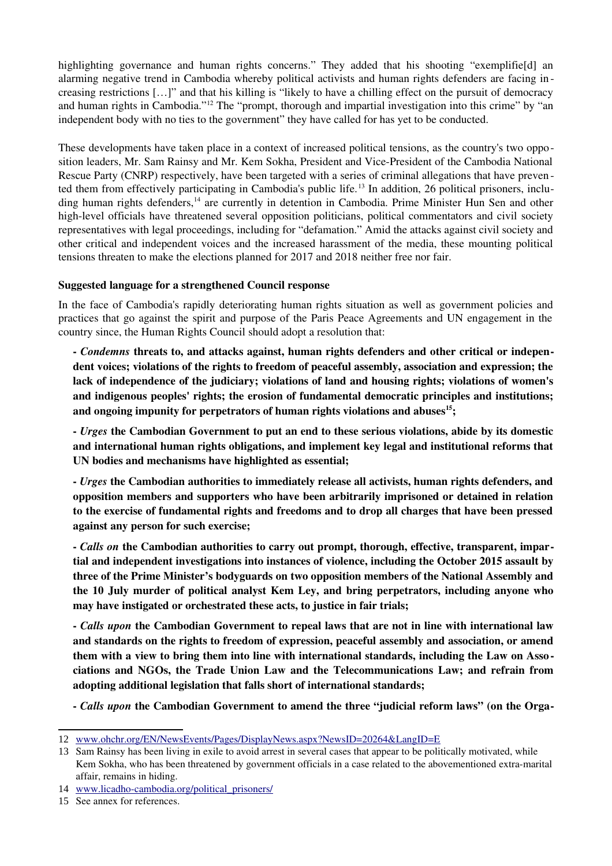highlighting governance and human rights concerns." They added that his shooting "exemplifie[d] an alarming negative trend in Cambodia whereby political activists and human rights defenders are facing in creasing restrictions […]" and that his killing is "likely to have a chilling effect on the pursuit of democracy and human rights in Cambodia."[12](#page-2-0) The "prompt, thorough and impartial investigation into this crime" by "an independent body with no ties to the government" they have called for has yet to be conducted.

These developments have taken place in a context of increased political tensions, as the country's two opposition leaders, Mr. Sam Rainsy and Mr. Kem Sokha, President and Vice-President of the Cambodia National Rescue Party (CNRP) respectively, have been targeted with a series of criminal allegations that have preven ted them from effectively participating in Cambodia's public life. [13](#page-2-1) In addition, 26 political prisoners, inclu-ding human rights defenders,<sup>[14](#page-2-2)</sup> are currently in detention in Cambodia. Prime Minister Hun Sen and other high-level officials have threatened several opposition politicians, political commentators and civil society representatives with legal proceedings, including for "defamation." Amid the attacks against civil society and other critical and independent voices and the increased harassment of the media, these mounting political tensions threaten to make the elections planned for 2017 and 2018 neither free nor fair.

## Suggested language for a strengthened Council response

In the face of Cambodia's rapidly deteriorating human rights situation as well as government policies and practices that go against the spirit and purpose of the Paris Peace Agreements and UN engagement in the country since, the Human Rights Council should adopt a resolution that:

 *Condemns* threats to, and attacks against, human rights defenders and other critical or independent voices; violations of the rights to freedom of peaceful assembly, association and expression; the lack of independence of the judiciary; violations of land and housing rights; violations of women's and indigenous peoples' rights; the erosion of fundamental democratic principles and institutions; and ongoing impunity for perpetrators of human rights violations and abuses $15$ ;

 *Urges* the Cambodian Government to put an end to these serious violations, abide by its domestic and international human rights obligations, and implement key legal and institutional reforms that UN bodies and mechanisms have highlighted as essential;

 *Urges* the Cambodian authorities to immediately release all activists, human rights defenders, and opposition members and supporters who have been arbitrarily imprisoned or detained in relation to the exercise of fundamental rights and freedoms and to drop all charges that have been pressed against any person for such exercise;

 *Calls on* the Cambodian authorities to carry out prompt, thorough, effective, transparent, impartial and independent investigations into instances of violence, including the October 2015 assault by three of the Prime Minister's bodyguards on two opposition members of the National Assembly and the 10 July murder of political analyst Kem Ley, and bring perpetrators, including anyone who may have instigated or orchestrated these acts, to justice in fair trials;

 *Calls upon* the Cambodian Government to repeal laws that are not in line with international law and standards on the rights to freedom of expression, peaceful assembly and association, or amend them with a view to bring them into line with international standards, including the Law on Associations and NGOs, the Trade Union Law and the Telecommunications Law; and refrain from adopting additional legislation that falls short of international standards;

*Calls upon* the Cambodian Government to amend the three "judicial reform laws" (on the Orga-

<span id="page-2-0"></span><sup>12</sup> [www.ohchr.org/EN/NewsEvents/Pages/DisplayNews.aspx?NewsID=20264&LangID=E](http://www.ohchr.org/EN/NewsEvents/Pages/DisplayNews.aspx?NewsID=20264&LangID=E) 

<span id="page-2-1"></span><sup>13</sup> Sam Rainsy has been living in exile to avoid arrest in several cases that appear to be politically motivated, while Kem Sokha, who has been threatened by government officials in a case related to the abovementioned extra-marital affair, remains in hiding.

<span id="page-2-2"></span><sup>14</sup> www.licadho-cambodia.org/political prisoners/

<span id="page-2-3"></span><sup>15</sup> See annex for references.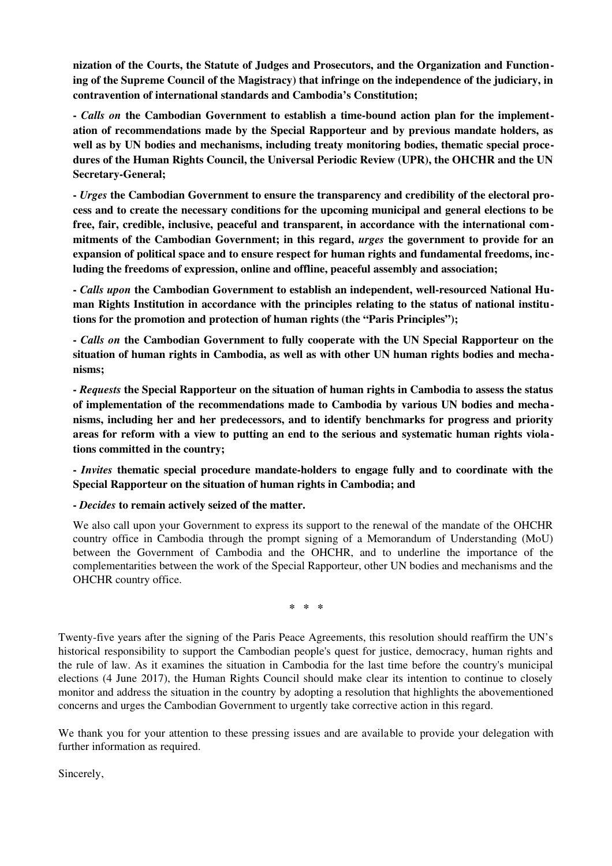nization of the Courts, the Statute of Judges and Prosecutors, and the Organization and Functioning of the Supreme Council of the Magistracy) that infringe on the independence of the judiciary, in contravention of international standards and Cambodia's Constitution;

- Calls on the Cambodian Government to establish a time-bound action plan for the implementation of recommendations made by the Special Rapporteur and by previous mandate holders, as well as by UN bodies and mechanisms, including treaty monitoring bodies, thematic special procedures of the Human Rights Council, the Universal Periodic Review (UPR), the OHCHR and the UN Secretary-General;

 *Urges* the Cambodian Government to ensure the transparency and credibility of the electoral process and to create the necessary conditions for the upcoming municipal and general elections to be free, fair, credible, inclusive, peaceful and transparent, in accordance with the international commitments of the Cambodian Government; in this regard, *urges* the government to provide for an expansion of political space and to ensure respect for human rights and fundamental freedoms, including the freedoms of expression, online and offline, peaceful assembly and association;

- Calls upon the Cambodian Government to establish an independent, well-resourced National Human Rights Institution in accordance with the principles relating to the status of national institutions for the promotion and protection of human rights (the "Paris Principles");

 *Calls on* the Cambodian Government to fully cooperate with the UN Special Rapporteur on the situation of human rights in Cambodia, as well as with other UN human rights bodies and mechanisms;

 *Requests* the Special Rapporteur on the situation of human rights in Cambodia to assess the status of implementation of the recommendations made to Cambodia by various UN bodies and mechanisms, including her and her predecessors, and to identify benchmarks for progress and priority areas for reform with a view to putting an end to the serious and systematic human rights violations committed in the country;

*Invites* thematic special procedure mandate-holders to engage fully and to coordinate with the Special Rapporteur on the situation of human rights in Cambodia; and

*Decides* to remain actively seized of the matter.

We also call upon your Government to express its support to the renewal of the mandate of the OHCHR country office in Cambodia through the prompt signing of a Memorandum of Understanding (MoU) between the Government of Cambodia and the OHCHR, and to underline the importance of the complementarities between the work of the Special Rapporteur, other UN bodies and mechanisms and the OHCHR country office.

 $* * * *$ 

Twenty-five years after the signing of the Paris Peace Agreements, this resolution should reaffirm the UN's historical responsibility to support the Cambodian people's quest for justice, democracy, human rights and the rule of law. As it examines the situation in Cambodia for the last time before the country's municipal elections (4 June 2017), the Human Rights Council should make clear its intention to continue to closely monitor and address the situation in the country by adopting a resolution that highlights the abovementioned concerns and urges the Cambodian Government to urgently take corrective action in this regard.

We thank you for your attention to these pressing issues and are available to provide your delegation with further information as required.

Sincerely,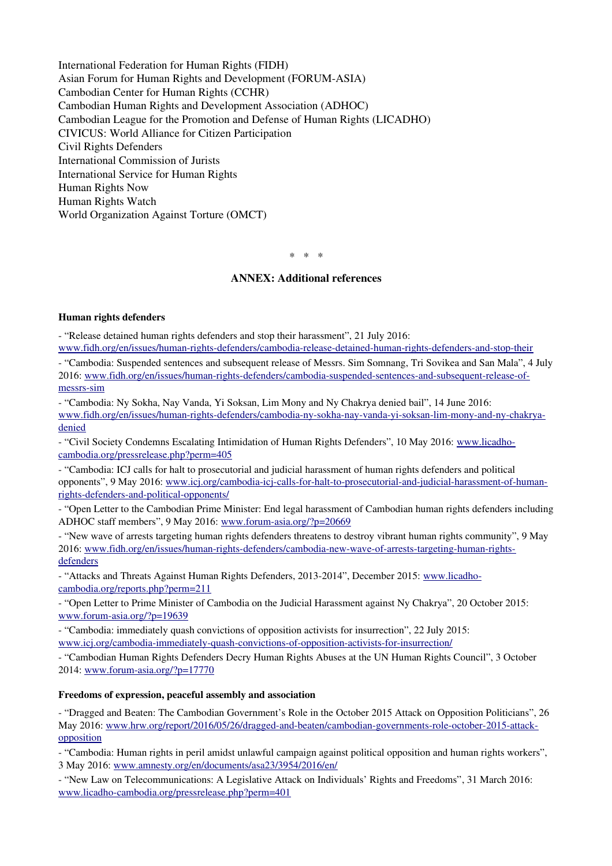International Federation for Human Rights (FIDH) Asian Forum for Human Rights and Development (FORUM-ASIA) Cambodian Center for Human Rights (CCHR) Cambodian Human Rights and Development Association (ADHOC) Cambodian League for the Promotion and Defense of Human Rights (LICADHO) CIVICUS: World Alliance for Citizen Participation Civil Rights Defenders International Commission of Jurists International Service for Human Rights Human Rights Now Human Rights Watch World Organization Against Torture (OMCT)

 $* * * *$ 

#### ANNEX: Additional references

#### Human rights defenders

- "Release detained human rights defenders and stop their harassment", 21 July 2016:

www.fidh.org/en/issues/human-rights-defenders/cambodia-release-detained-human-rights-defenders-and-stop-their

 "Cambodia: Suspended sentences and subsequent release of Messrs. Sim Somnang, Tri Sovikea and San Mala", 4 July 2016: www.fidh.org/en/issues/human-rights-defenders/cambodia-suspended-sentences-and-subsequent-release-ofmessrs-sim

 "Cambodia: Ny Sokha, Nay Vanda, Yi Soksan, Lim Mony and Ny Chakrya denied bail", 14 June 2016: www.fidh.org/en/issues/human-rights-defenders/cambodia-ny-sokha-nay-vanda-yi-soksan-lim-mony-and-ny-chakrya[denied](https://www.fidh.org/en/issues/human-rights-defenders/cambodia-ny-sokha-nay-vanda-yi-soksan-lim-mony-and-ny-chakrya-denied)

- "Civil Society Condemns Escalating Intimidation of Human Rights Defenders", 10 May 2016: [www.licadho](http://www.licadho-cambodia.org/pressrelease.php?perm=405)[cambodia.org/pressrelease.php?perm=405](http://www.licadho-cambodia.org/pressrelease.php?perm=405)

 "Cambodia: ICJ calls for halt to prosecutorial and judicial harassment of human rights defenders and political opponents", 9 May 2016: www.icj.org/cambodia-icj-calls-for-halt-to-prosecutorial-and-judicial-harassment-of-humanrights-defenders-and-political-opponents/

 "Open Letter to the Cambodian Prime Minister: End legal harassment of Cambodian human rights defenders including ADHOC staff members", 9 May 2016: www.forum-asia.org/?p=20669

 "New wave of arrests targeting human rights defenders threatens to destroy vibrant human rights community", 9 May 2016: www.fidh.org/en/issues/human-rights-defenders/cambodia-new-wave-of-arrests-targeting-human-rights[defenders](http://www.fidh.org/en/issues/human-rights-defenders/cambodia-new-wave-of-arrests-targeting-human-rights-defenders)

- "Attacks and Threats Against Human Rights Defenders, 2013-2014", December 2015: [www.licadho](http://www.licadho-cambodia.org/reports.php?perm=211)[cambodia.org/reports.php?perm=211](http://www.licadho-cambodia.org/reports.php?perm=211)

 "Open Letter to Prime Minister of Cambodia on the Judicial Harassment against Ny Chakrya", 20 October 2015: www.forum-asia.org/?p=19639

 "Cambodia: immediately quash convictions of opposition activists for insurrection", 22 July 2015: www.icj.org/cambodia-immediately-quash-convictions-of-opposition-activists-for-insurrection/

- "Cambodian Human Rights Defenders Decry Human Rights Abuses at the UN Human Rights Council", 3 October 2014: www.forum-asia.org/?p=17770

#### Freedoms of expression, peaceful assembly and association

 "Dragged and Beaten: The Cambodian Government's Role in the October 2015 Attack on Opposition Politicians", 26 May 2016: www.hrw.org/report/2016/05/26/dragged-and-beaten/cambodian-governments-role-october-2015-attack[opposition](https://www.hrw.org/report/2016/05/26/dragged-and-beaten/cambodian-governments-role-october-2015-attack-opposition)

 "Cambodia: Human rights in peril amidst unlawful campaign against political opposition and human rights workers", 3 May 2016: [www.amnesty.org/en/documents/asa23/3954/2016/en/](https://www.amnesty.org/en/documents/asa23/3954/2016/en/)

- "New Law on Telecommunications: A Legislative Attack on Individuals' Rights and Freedoms", 31 March 2016: www.licadho-cambodia.org/pressrelease.php?perm=401